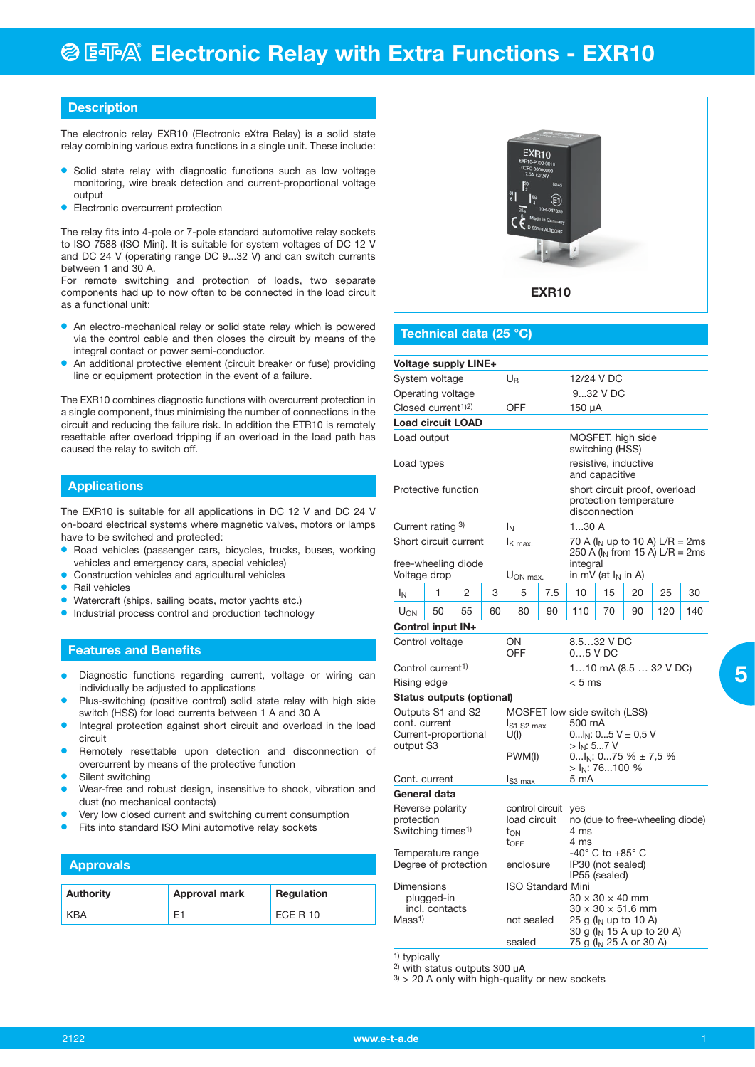#### **Description**

The electronic relay EXR10 (Electronic eXtra Relay) is a solid state relay combining various extra functions in a single unit. These include:

- Solid state relay with diagnostic functions such as low voltage monitoring, wire break detection and current-proportional voltage output
- **•** Electronic overcurrent protection

The relay fits into 4-pole or 7-pole standard automotive relay sockets to ISO 7588 (ISO Mini). It is suitable for system voltages of DC 12 V and DC 24 V (operating range DC 9...32 V) and can switch currents between 1 and 30 A.

For remote switching and protection of loads, two separate components had up to now often to be connected in the load circuit as a functional unit:

- An electro-mechanical relay or solid state relay which is powered via the control cable and then closes the circuit by means of the integral contact or power semi-conductor.
- An additional protective element (circuit breaker or fuse) providing line or equipment protection in the event of a failure.

The EXR10 combines diagnostic functions with overcurrent protection in a single component, thus minimising the number of connections in the circuit and reducing the failure risk. In addition the ETR10 is remotely resettable after overload tripping if an overload in the load path has caused the relay to switch off.

#### **Applications**

The EXR10 is suitable for all applications in DC 12 V and DC 24 V on-board electrical systems where magnetic valves, motors or lamps have to be switched and protected:

- Road vehicles (passenger cars, bicycles, trucks, buses, working vehicles and emergency cars, special vehicles)
- **•** Construction vehicles and agricultural vehicles
- **•** Rail vehicles
- **Watercraft (ships, sailing boats, motor yachts etc.)**
- **•** Industrial process control and production technology

#### **Features and Benefits**

- Diagnostic functions regarding current, voltage or wiring can individually be adjusted to applications
- Plus-switching (positive control) solid state relay with high side switch (HSS) for load currents between 1 A and 30 A
- Integral protection against short circuit and overload in the load circuit
- Remotely resettable upon detection and disconnection of overcurrent by means of the protective function
- Silent switching
- Wear-free and robust design, insensitive to shock, vibration and dust (no mechanical contacts)
- Very low closed current and switching current consumption
- Fits into standard ISO Mini automotive relay sockets

#### **Approvals**

| <b>Authority</b> | Approval mark | Regulation |
|------------------|---------------|------------|
|                  |               | ECE R 10   |



#### **Technical data (25 °C)**

| <b>Voltage supply LINE+</b>               |                |                  |                                 |                                                  |                                 |                                                                          |                       |                                    |                                       |     |
|-------------------------------------------|----------------|------------------|---------------------------------|--------------------------------------------------|---------------------------------|--------------------------------------------------------------------------|-----------------------|------------------------------------|---------------------------------------|-----|
| System voltage                            |                |                  |                                 | $U_{\mathsf{B}}$                                 |                                 |                                                                          | 12/24 V DC            |                                    |                                       |     |
| Operating voltage                         |                |                  |                                 |                                                  |                                 |                                                                          | 932 V DC              |                                    |                                       |     |
| Closed current <sup>1)2)</sup>            |                |                  |                                 | OFF                                              |                                 | $150 \mu A$                                                              |                       |                                    |                                       |     |
| <b>Load circuit LOAD</b>                  |                |                  |                                 |                                                  |                                 |                                                                          |                       |                                    |                                       |     |
| Load output                               |                |                  |                                 |                                                  |                                 |                                                                          | switching (HSS)       | MOSFET, high side                  |                                       |     |
| Load types                                |                |                  |                                 |                                                  |                                 |                                                                          | and capacitive        | resistive, inductive               |                                       |     |
| Protective function                       |                |                  |                                 |                                                  |                                 | short circuit proof, overload<br>protection temperature<br>disconnection |                       |                                    |                                       |     |
| Current rating 3)                         |                |                  |                                 | $I_N$                                            |                                 | 130A                                                                     |                       |                                    |                                       |     |
| Short circuit current                     |                |                  |                                 | $I_{K \, max.}$                                  |                                 | 70 A ( $I_N$ up to 10 A) L/R = 2ms<br>250 A ( $I_N$ from 15 A) L/R = 2ms |                       |                                    |                                       |     |
| free-wheeling diode<br>Voltage drop       |                |                  |                                 | U <sub>ON max</sub> .                            |                                 | integral                                                                 | in mV (at $I_N$ in A) |                                    |                                       |     |
| ΙŅ                                        | 1              | 2                | 3                               | 5                                                | 7.5                             | 10                                                                       | 15                    | 20                                 | 25                                    | 30  |
| U <sub>ON</sub>                           | 50             | 55               | 60                              | 80                                               | 90                              | 110                                                                      | 70                    | 90                                 | 120                                   | 140 |
| Control input IN+                         |                |                  |                                 |                                                  |                                 |                                                                          |                       |                                    |                                       |     |
| Control voltage                           |                |                  |                                 | ON<br>OFF                                        | 8.532 V DC<br>$05$ V DC         |                                                                          |                       |                                    |                                       |     |
| Control current <sup>1)</sup>             |                |                  |                                 |                                                  |                                 | 110 mA (8.5  32 V DC)                                                    |                       |                                    |                                       |     |
| Rising edge                               |                |                  |                                 |                                                  |                                 | < 5 ms                                                                   |                       |                                    |                                       |     |
| <b>Status outputs (optional)</b>          |                |                  |                                 |                                                  |                                 |                                                                          |                       |                                    |                                       |     |
| Outputs S1 and S2                         |                |                  |                                 | MOSFET low side switch (LSS)                     |                                 |                                                                          |                       |                                    |                                       |     |
| cont. current<br>Current-proportional     |                |                  |                                 | Is <sub>1.S2 max</sub>                           |                                 | 500 mA                                                                   |                       |                                    |                                       |     |
| output S3                                 |                |                  |                                 | U(1)                                             |                                 | 0 $I_N$ : 05 V $\pm$ 0,5 V<br>> I <sub>N</sub> : 57 V                    |                       |                                    |                                       |     |
|                                           |                | PWM(I)           |                                 | 0 $I_N$ : 075 % $\pm$ 7,5 %                      |                                 |                                                                          |                       |                                    |                                       |     |
| Cont. current                             |                |                  |                                 | $> I_N$ : 76100 %<br>5 mA                        |                                 |                                                                          |                       |                                    |                                       |     |
| General data                              |                |                  |                                 | $IS3$ max                                        |                                 |                                                                          |                       |                                    |                                       |     |
|                                           |                |                  |                                 |                                                  |                                 | yes                                                                      |                       |                                    |                                       |     |
| Reverse polarity<br>protection            |                |                  | control circuit<br>load circuit |                                                  | no (due to free-wheeling diode) |                                                                          |                       |                                    |                                       |     |
| Switching times <sup>1)</sup>             |                | ton              |                                 | 4 ms                                             |                                 |                                                                          |                       |                                    |                                       |     |
|                                           |                | t <sub>OFF</sub> |                                 | $4 \text{ ms}$<br>$-40^\circ$ C to $+85^\circ$ C |                                 |                                                                          |                       |                                    |                                       |     |
| Temperature range<br>Degree of protection |                |                  | enclosure                       |                                                  | IP30 (not sealed)               |                                                                          |                       |                                    |                                       |     |
|                                           |                |                  |                                 |                                                  |                                 | IP55 (sealed)                                                            |                       |                                    |                                       |     |
| Dimensions                                |                |                  |                                 | <b>ISO Standard Mini</b>                         |                                 |                                                                          |                       |                                    |                                       |     |
|                                           | plugged-in     |                  |                                 |                                                  |                                 | $30 \times 30 \times 40$ mm<br>$30 \times 30 \times 51.6$ mm             |                       |                                    |                                       |     |
| Mass <sup>1</sup>                         | incl. contacts |                  |                                 | not sealed                                       |                                 |                                                                          |                       | 25 g (I <sub>N</sub> up to 10 A)   | 30 g (l <sub>N</sub> 15 A up to 20 A) |     |
|                                           |                |                  |                                 | sealed                                           |                                 |                                                                          |                       | 75 g (I <sub>N</sub> 25 A or 30 A) |                                       |     |

1) typically

2) with status outputs 300 µA

 $3$  > 20 A only with high-quality or new sockets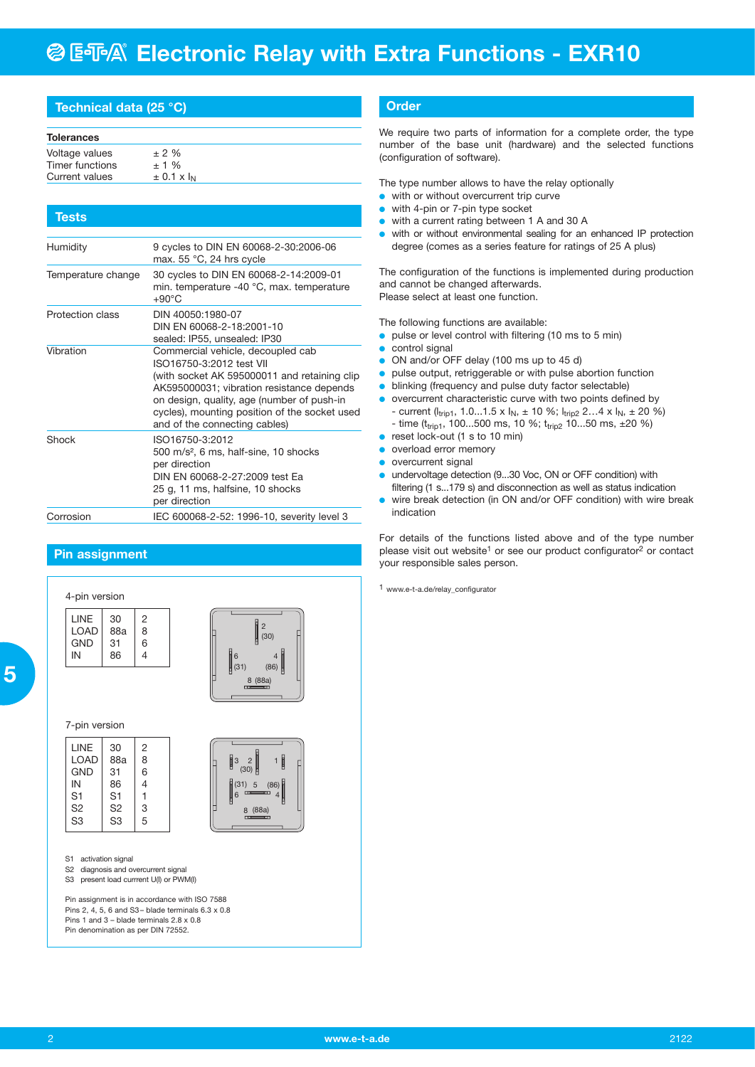## **@ ESA® Electronic Relay with Extra Functions - EXR10**

#### **Technical data (25 °C)**

| Tests              |                                                                                                                                                                                                                                                                                            |
|--------------------|--------------------------------------------------------------------------------------------------------------------------------------------------------------------------------------------------------------------------------------------------------------------------------------------|
|                    |                                                                                                                                                                                                                                                                                            |
| Humidity           | 9 cycles to DIN EN 60068-2-30:2006-06<br>max. 55 °C, 24 hrs cycle                                                                                                                                                                                                                          |
| Temperature change | 30 cycles to DIN EN 60068-2-14:2009-01<br>min. temperature -40 °C, max. temperature<br>$+90^{\circ}$ C                                                                                                                                                                                     |
| Protection class   | DIN 40050:1980-07<br>DIN EN 60068-2-18:2001-10<br>sealed: IP55, unsealed: IP30                                                                                                                                                                                                             |
| Vibration          | Commercial vehicle, decoupled cab<br>ISO16750-3:2012 test VII<br>(with socket AK 595000011 and retaining clip<br>AK595000031; vibration resistance depends<br>on design, quality, age (number of push-in<br>cycles), mounting position of the socket used<br>and of the connecting cables) |
| Shock              | ISO16750-3:2012<br>500 m/s <sup>2</sup> , 6 ms, half-sine, 10 shocks<br>per direction<br>DIN EN 60068-2-27:2009 test Ea<br>25 g, 11 ms, halfsine, 10 shocks<br>per direction                                                                                                               |
| Corrosion          | IEC 600068-2-52: 1996-10, severity level 3                                                                                                                                                                                                                                                 |

#### **Pin assignment**

4-pin version

| LINE       | 30  | 2 |  |
|------------|-----|---|--|
| LOAD       | 88a | 8 |  |
| <b>GND</b> | 31  | 6 |  |
| IN         | 86  | 4 |  |

8 (88a) 6 4 2 (86)  $(30)$ (31)

5

(88a)

3 2 1 (30) (31) 5 (86)

8  $6 \frac{\text{m}}{\text{m}}$  4

7-pin version

| <b>LINE</b>    | 30             | $\overline{2}$ |  |
|----------------|----------------|----------------|--|
|                |                |                |  |
| LOAD           | 88a            | 8              |  |
| <b>GND</b>     | 31             | 6              |  |
| IN             | 86             | 4              |  |
| S <sub>1</sub> | S <sub>1</sub> | 1              |  |
| S <sub>2</sub> | S2             | 3              |  |
| S <sub>3</sub> | S <sub>3</sub> | 5              |  |

S1 activation signal

- S<sub>2</sub> diagnosis and overcurrent signal
- S3 present load currrent U(I) or PWM(I)

Pin assignment is in accordance with ISO 7588 Pins 2, 4, 5, 6 and S3 – blade terminals 6.3 x 0.8 Pins 1 and 3 – blade terminals 2.8 x 0.8 Pin denomination as per DIN 72552.

#### **Order**

We require two parts of information for a complete order, the type number of the base unit (hardware) and the selected functions (configuration of software).

The type number allows to have the relay optionally

- **•** with or without overcurrent trip curve
- with 4-pin or 7-pin type socket
- with a current rating between 1 A and 30 A
- **•** with or without environmental sealing for an enhanced IP protection degree (comes as a series feature for ratings of 25 A plus)

The configuration of the functions is implemented during production and cannot be changed afterwards. Please select at least one function.

The following functions are available:

- $\bullet\;$  pulse or level control with filtering (10 ms to 5 min)
- control signal
- $\bullet$  ON and/or OFF delay (100 ms up to 45 d)
- $\bullet$  pulse output, retriggerable or with pulse abortion function
- blinking (frequency and pulse duty factor selectable)
- **•** overcurrent characteristic curve with two points defined by - current ( $l_{trip1}$ , 1.0...1.5 x  $I_N$ ,  $\pm$  10 %;  $I_{trip2}$  2...4 x  $I_N$ ,  $\pm$  20 %)
	- time ( $t_{trip1}$ , 100...500 ms, 10 %;  $t_{trip2}$  10...50 ms, ±20 %)
- $\bullet$  reset lock-out (1 s to 10 min)
- **o** overload error memory
- overcurrent signal
- **•** undervoltage detection (9...30 Voc, ON or OFF condition) with filtering (1 s...179 s) and disconnection as well as status indication
- **•** wire break detection (in ON and/or OFF condition) with wire break indication

For details of the functions listed above and of the type number please visit out website<sup>1</sup> or see our product configurator<sup>2</sup> or contact your responsible sales person.

1 www.e-t-a.de/relay\_configurator